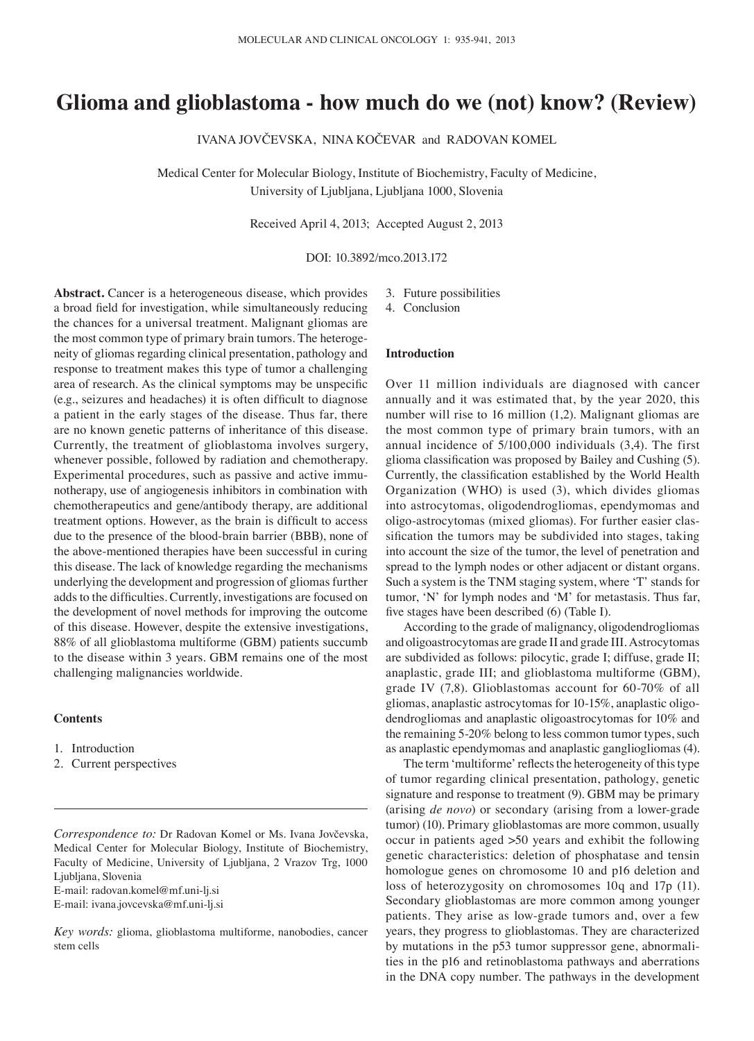# **Glioma and glioblastoma ‑ how much do we (not) know? (Review)**

IVANA JOVČEVSKA, NINA KOČEVAR and RADOVAN KOMEL

Medical Center for Molecular Biology, Institute of Biochemistry, Faculty of Medicine, University of Ljubljana, Ljubljana 1000, Slovenia

Received April 4, 2013; Accepted August 2, 2013

DOI: 10.3892/mco.2013.172

**Abstract.** Cancer is a heterogeneous disease, which provides a broad field for investigation, while simultaneously reducing the chances for a universal treatment. Malignant gliomas are the most common type of primary brain tumors. The heterogeneity of gliomas regarding clinical presentation, pathology and response to treatment makes this type of tumor a challenging area of research. As the clinical symptoms may be unspecific (e.g., seizures and headaches) it is often difficult to diagnose a patient in the early stages of the disease. Thus far, there are no known genetic patterns of inheritance of this disease. Currently, the treatment of glioblastoma involves surgery, whenever possible, followed by radiation and chemotherapy. Experimental procedures, such as passive and active immunotherapy, use of angiogenesis inhibitors in combination with chemotherapeutics and gene/antibody therapy, are additional treatment options. However, as the brain is difficult to access due to the presence of the blood‑brain barrier (BBB), none of the above-mentioned therapies have been successful in curing this disease. The lack of knowledge regarding the mechanisms underlying the development and progression of gliomas further adds to the difficulties. Currently, investigations are focused on the development of novel methods for improving the outcome of this disease. However, despite the extensive investigations, 88% of all glioblastoma multiforme (GBM) patients succumb to the disease within 3 years. GBM remains one of the most challenging malignancies worldwide.

# **Contents**

- 1. Introduction
- 2. Current perspectives

*Correspondence to:* Dr Radovan Komel or Ms. Ivana Jovčevska, Medical Center for Molecular Biology, Institute of Biochemistry, Faculty of Medicine, University of Ljubljana, 2 Vrazov Trg, 1000 Ljubljana, Slovenia

E-mail: radovan.komel@mf.uni-lj.si

E‑mail: ivana.jovcevska@mf.uni-lj.si

*Key words:* glioma, glioblastoma multiforme, nanobodies, cancer stem cells

- 3. Future possibilities
- 4. Conclusion

## **Introduction**

Over 11 million individuals are diagnosed with cancer annually and it was estimated that, by the year 2020, this number will rise to 16 million (1,2). Malignant gliomas are the most common type of primary brain tumors, with an annual incidence of 5/100,000 individuals (3,4). The first glioma classification was proposed by Bailey and Cushing (5). Currently, the classification established by the World Health Organization (WHO) is used (3), which divides gliomas into astrocytomas, oligodendrogliomas, ependymomas and oligo‑astrocytomas (mixed gliomas). For further easier classification the tumors may be subdivided into stages, taking into account the size of the tumor, the level of penetration and spread to the lymph nodes or other adjacent or distant organs. Such a system is the TNM staging system, where 'T' stands for tumor, 'N' for lymph nodes and 'M' for metastasis. Thus far, five stages have been described (6) (Table I).

According to the grade of malignancy, oligodendrogliomas and oligoastrocytomas are grade II and grade III. Astrocytomas are subdivided as follows: pilocytic, grade I; diffuse, grade II; anaplastic, grade III; and glioblastoma multiforme (GBM), grade IV (7,8). Glioblastomas account for 60‑70% of all gliomas, anaplastic astrocytomas for 10‑15%, anaplastic oligodendrogliomas and anaplastic oligoastrocytomas for 10% and the remaining 5-20% belong to less common tumor types, such as anaplastic ependymomas and anaplastic gangliogliomas (4).

The term 'multiforme' reflects the heterogeneity of this type of tumor regarding clinical presentation, pathology, genetic signature and response to treatment (9). GBM may be primary (arising *de novo*) or secondary (arising from a lower-grade tumor) (10). Primary glioblastomas are more common, usually occur in patients aged >50 years and exhibit the following genetic characteristics: deletion of phosphatase and tensin homologue genes on chromosome 10 and p16 deletion and loss of heterozygosity on chromosomes 10q and 17p (11). Secondary glioblastomas are more common among younger patients. They arise as low-grade tumors and, over a few years, they progress to glioblastomas. They are characterized by mutations in the p53 tumor suppressor gene, abnormalities in the p16 and retinoblastoma pathways and aberrations in the DNA copy number. The pathways in the development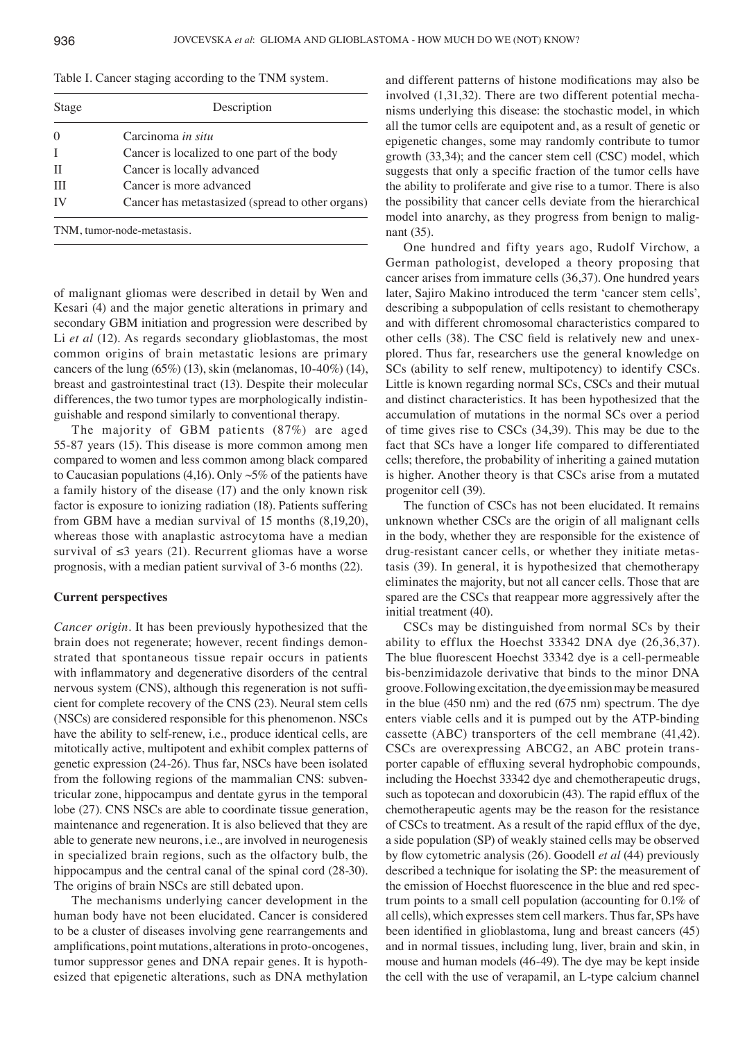| Table I. Cancer staging according to the TNM system. |  |  |
|------------------------------------------------------|--|--|
|------------------------------------------------------|--|--|

| Stage            | Description                                      |  |
|------------------|--------------------------------------------------|--|
| $\left( \right)$ | Carcinoma in situ                                |  |
|                  | Cancer is localized to one part of the body      |  |
| Л                | Cancer is locally advanced                       |  |
| Ш                | Cancer is more advanced                          |  |
| IV               | Cancer has metastasized (spread to other organs) |  |
|                  |                                                  |  |

TNM, tumor-node-metastasis.

of malignant gliomas were described in detail by Wen and Kesari (4) and the major genetic alterations in primary and secondary GBM initiation and progression were described by Li *et al* (12). As regards secondary glioblastomas, the most common origins of brain metastatic lesions are primary cancers of the lung  $(65%)$  (13), skin (melanomas, 10-40%) (14), breast and gastrointestinal tract (13). Despite their molecular differences, the two tumor types are morphologically indistinguishable and respond similarly to conventional therapy.

The majority of GBM patients (87%) are aged 55‑87 years (15). This disease is more common among men compared to women and less common among black compared to Caucasian populations (4,16). Only  $\sim$  5% of the patients have a family history of the disease (17) and the only known risk factor is exposure to ionizing radiation (18). Patients suffering from GBM have a median survival of 15 months (8,19,20), whereas those with anaplastic astrocytoma have a median survival of  $\leq 3$  years (21). Recurrent gliomas have a worse prognosis, with a median patient survival of 3‑6 months (22).

### **Current perspectives**

*Cancer origin.* It has been previously hypothesized that the brain does not regenerate; however, recent findings demonstrated that spontaneous tissue repair occurs in patients with inflammatory and degenerative disorders of the central nervous system (CNS), although this regeneration is not sufficient for complete recovery of the CNS (23). Neural stem cells (NSCs) are considered responsible for this phenomenon. NSCs have the ability to self-renew, i.e., produce identical cells, are mitotically active, multipotent and exhibit complex patterns of genetic expression (24‑26). Thus far, NSCs have been isolated from the following regions of the mammalian CNS: subventricular zone, hippocampus and dentate gyrus in the temporal lobe (27). CNS NSCs are able to coordinate tissue generation, maintenance and regeneration. It is also believed that they are able to generate new neurons, i.e., are involved in neurogenesis in specialized brain regions, such as the olfactory bulb, the hippocampus and the central canal of the spinal cord (28–30). The origins of brain NSCs are still debated upon.

The mechanisms underlying cancer development in the human body have not been elucidated. Cancer is considered to be a cluster of diseases involving gene rearrangements and amplifications, point mutations, alterations in proto-oncogenes, tumor suppressor genes and DNA repair genes. It is hypothesized that epigenetic alterations, such as DNA methylation and different patterns of histone modifications may also be involved (1,31,32). There are two different potential mechanisms underlying this disease: the stochastic model, in which all the tumor cells are equipotent and, as a result of genetic or epigenetic changes, some may randomly contribute to tumor growth (33,34); and the cancer stem cell (CSC) model, which suggests that only a specific fraction of the tumor cells have the ability to proliferate and give rise to a tumor. There is also the possibility that cancer cells deviate from the hierarchical model into anarchy, as they progress from benign to malignant (35).

One hundred and fifty years ago, Rudolf Virchow, a German pathologist, developed a theory proposing that cancer arises from immature cells (36,37). One hundred years later, Sajiro Makino introduced the term 'cancer stem cells', describing a subpopulation of cells resistant to chemotherapy and with different chromosomal characteristics compared to other cells (38). The CSC field is relatively new and unexplored. Thus far, researchers use the general knowledge on SCs (ability to self renew, multipotency) to identify CSCs. Little is known regarding normal SCs, CSCs and their mutual and distinct characteristics. It has been hypothesized that the accumulation of mutations in the normal SCs over a period of time gives rise to CSCs (34,39). This may be due to the fact that SCs have a longer life compared to differentiated cells; therefore, the probability of inheriting a gained mutation is higher. Another theory is that CSCs arise from a mutated progenitor cell (39).

The function of CSCs has not been elucidated. It remains unknown whether CSCs are the origin of all malignant cells in the body, whether they are responsible for the existence of drug-resistant cancer cells, or whether they initiate metastasis (39). In general, it is hypothesized that chemotherapy eliminates the majority, but not all cancer cells. Those that are spared are the CSCs that reappear more aggressively after the initial treatment (40).

CSCs may be distinguished from normal SCs by their ability to efflux the Hoechst 33342 DNA dye (26,36,37). The blue fluorescent Hoechst 33342 dye is a cell-permeable bis-benzimidazole derivative that binds to the minor DNA groove. Following excitation, the dye emission may be measured in the blue (450 nm) and the red (675 nm) spectrum. The dye enters viable cells and it is pumped out by the ATP-binding cassette (ABC) transporters of the cell membrane (41,42). CSCs are overexpressing ABCG2, an ABC protein transporter capable of effluxing several hydrophobic compounds, including the Hoechst 33342 dye and chemotherapeutic drugs, such as topotecan and doxorubicin (43). The rapid efflux of the chemotherapeutic agents may be the reason for the resistance of CSCs to treatment. As a result of the rapid efflux of the dye, a side population (SP) of weakly stained cells may be observed by flow cytometric analysis (26). Goodell *et al* (44) previously described a technique for isolating the SP: the measurement of the emission of Hoechst fluorescence in the blue and red spectrum points to a small cell population (accounting for 0.1% of all cells), which expresses stem cell markers. Thus far, SPs have been identified in glioblastoma, lung and breast cancers (45) and in normal tissues, including lung, liver, brain and skin, in mouse and human models (46‑49). The dye may be kept inside the cell with the use of verapamil, an L‑type calcium channel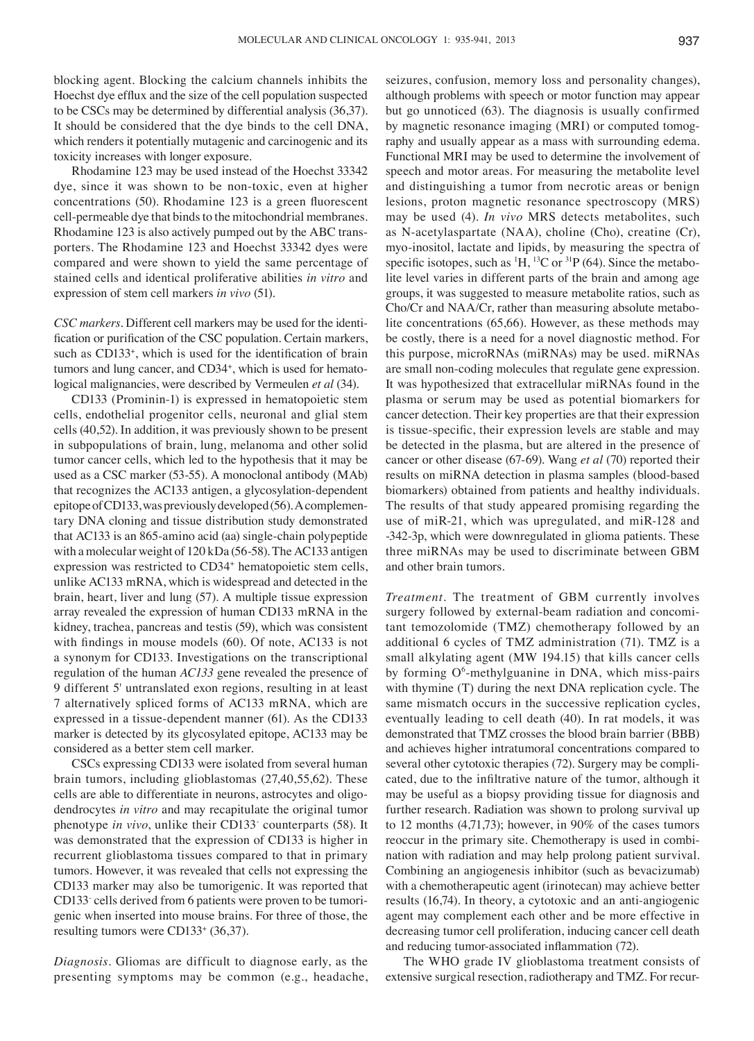blocking agent. Blocking the calcium channels inhibits the Hoechst dye efflux and the size of the cell population suspected to be CSCs may be determined by differential analysis (36,37). It should be considered that the dye binds to the cell DNA, which renders it potentially mutagenic and carcinogenic and its toxicity increases with longer exposure.

Rhodamine 123 may be used instead of the Hoechst 33342 dye, since it was shown to be non-toxic, even at higher concentrations (50). Rhodamine 123 is a green fluorescent cell-permeable dye that binds to the mitochondrial membranes. Rhodamine 123 is also actively pumped out by the ABC transporters. The Rhodamine 123 and Hoechst 33342 dyes were compared and were shown to yield the same percentage of stained cells and identical proliferative abilities *in vitro* and expression of stem cell markers *in vivo* (51).

*CSC markers.* Different cell markers may be used for the identification or purification of the CSC population. Certain markers, such as CD133<sup>+</sup>, which is used for the identification of brain tumors and lung cancer, and CD34<sup>+</sup>, which is used for hematological malignancies, were described by Vermeulen *et al* (34).

CD133 (Prominin-1) is expressed in hematopoietic stem cells, endothelial progenitor cells, neuronal and glial stem cells (40,52). In addition, it was previously shown to be present in subpopulations of brain, lung, melanoma and other solid tumor cancer cells, which led to the hypothesis that it may be used as a CSC marker (53‑55). A monoclonal antibody (MAb) that recognizes the AC133 antigen, a glycosylation‑dependent epitope of CD133, was previously developed(56). A complementary DNA cloning and tissue distribution study demonstrated that AC133 is an 865-amino acid (aa) single‑chain polypeptide with a molecular weight of 120 kDa (56‑58). The AC133 antigen expression was restricted to CD34<sup>+</sup> hematopoietic stem cells, unlike AC133 mRNA, which is widespread and detected in the brain, heart, liver and lung (57). A multiple tissue expression array revealed the expression of human CD133 mRNA in the kidney, trachea, pancreas and testis (59), which was consistent with findings in mouse models (60). Of note, AC133 is not a synonym for CD133. Investigations on the transcriptional regulation of the human *AC133* gene revealed the presence of 9 different 5' untranslated exon regions, resulting in at least 7 alternatively spliced forms of AC133 mRNA, which are expressed in a tissue‑dependent manner (61). As the CD133 marker is detected by its glycosylated epitope, AC133 may be considered as a better stem cell marker.

CSCs expressing CD133 were isolated from several human brain tumors, including glioblastomas (27,40,55,62). These cells are able to differentiate in neurons, astrocytes and oligodendrocytes *in vitro* and may recapitulate the original tumor phenotype *in vivo*, unlike their CD133- counterparts (58). It was demonstrated that the expression of CD133 is higher in recurrent glioblastoma tissues compared to that in primary tumors. However, it was revealed that cells not expressing the CD133 marker may also be tumorigenic. It was reported that CD133- cells derived from 6 patients were proven to be tumorigenic when inserted into mouse brains. For three of those, the resulting tumors were CD133<sup>+</sup> (36,37).

*Diagnosis.* Gliomas are difficult to diagnose early, as the presenting symptoms may be common (e.g., headache, seizures, confusion, memory loss and personality changes), although problems with speech or motor function may appear but go unnoticed (63). The diagnosis is usually confirmed by magnetic resonance imaging (MRI) or computed tomography and usually appear as a mass with surrounding edema. Functional MRI may be used to determine the involvement of speech and motor areas. For measuring the metabolite level and distinguishing a tumor from necrotic areas or benign lesions, proton magnetic resonance spectroscopy (MRS) may be used (4). *In vivo* MRS detects metabolites, such as N‑acetylaspartate (NAA), choline (Cho), creatine (Cr), myo‑inositol, lactate and lipids, by measuring the spectra of specific isotopes, such as  ${}^{1}H, {}^{13}C$  or  ${}^{31}P$  (64). Since the metabolite level varies in different parts of the brain and among age groups, it was suggested to measure metabolite ratios, such as Cho/Cr and NAA/Cr, rather than measuring absolute metabolite concentrations (65,66). However, as these methods may be costly, there is a need for a novel diagnostic method. For this purpose, microRNAs (miRNAs) may be used. miRNAs are small non‑coding molecules that regulate gene expression. It was hypothesized that extracellular miRNAs found in the plasma or serum may be used as potential biomarkers for cancer detection. Their key properties are that their expression is tissue-specific, their expression levels are stable and may be detected in the plasma, but are altered in the presence of cancer or other disease (67‑69). Wang *et al* (70) reported their results on miRNA detection in plasma samples (blood-based biomarkers) obtained from patients and healthy individuals. The results of that study appeared promising regarding the use of miR-21, which was upregulated, and miR-128 and -342-3p, which were downregulated in glioma patients. These three miRNAs may be used to discriminate between GBM and other brain tumors.

*Treatment.* The treatment of GBM currently involves surgery followed by external-beam radiation and concomitant temozolomide (TMZ) chemotherapy followed by an additional 6 cycles of TMZ administration (71). TMZ is a small alkylating agent (MW 194.15) that kills cancer cells by forming O<sup>6</sup>-methylguanine in DNA, which miss-pairs with thymine (T) during the next DNA replication cycle. The same mismatch occurs in the successive replication cycles, eventually leading to cell death (40). In rat models, it was demonstrated that TMZ crosses the blood brain barrier (BBB) and achieves higher intratumoral concentrations compared to several other cytotoxic therapies (72). Surgery may be complicated, due to the infiltrative nature of the tumor, although it may be useful as a biopsy providing tissue for diagnosis and further research. Radiation was shown to prolong survival up to 12 months (4,71,73); however, in 90% of the cases tumors reoccur in the primary site. Chemotherapy is used in combination with radiation and may help prolong patient survival. Combining an angiogenesis inhibitor (such as bevacizumab) with a chemotherapeutic agent (irinotecan) may achieve better results (16,74). In theory, a cytotoxic and an anti-angiogenic agent may complement each other and be more effective in decreasing tumor cell proliferation, inducing cancer cell death and reducing tumor-associated inflammation (72).

The WHO grade IV glioblastoma treatment consists of extensive surgical resection, radiotherapy and TMZ. For recur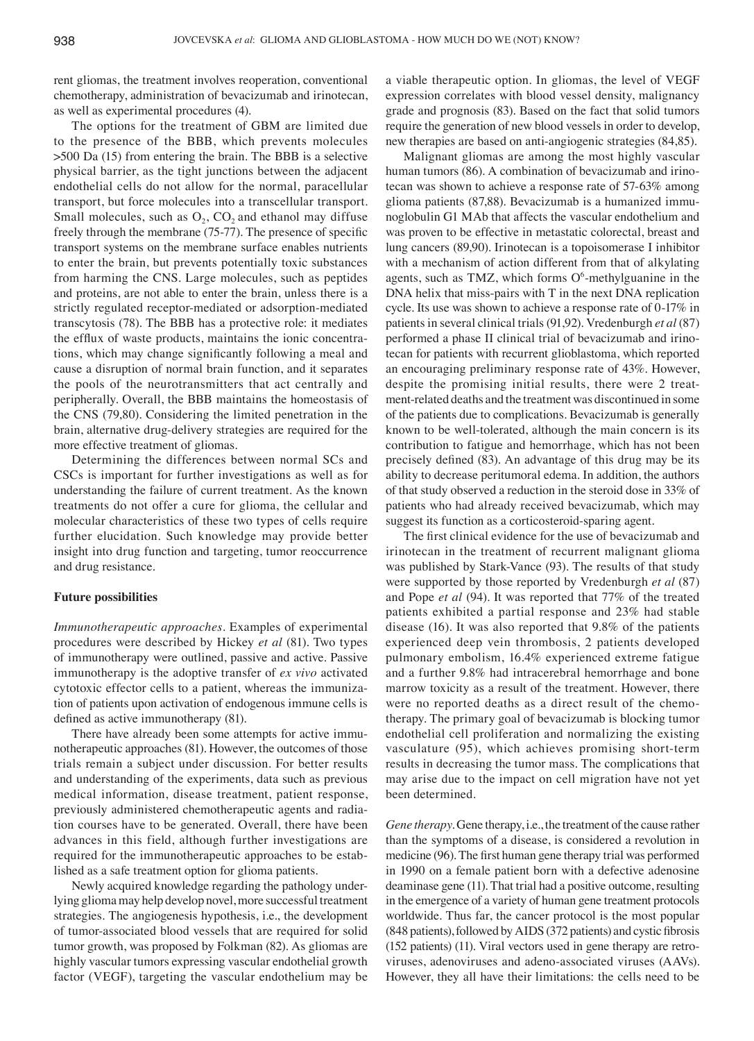rent gliomas, the treatment involves reoperation, conventional chemotherapy, administration of bevacizumab and irinotecan, as well as experimental procedures (4).

The options for the treatment of GBM are limited due to the presence of the BBB, which prevents molecules >500 Da (15) from entering the brain. The BBB is a selective physical barrier, as the tight junctions between the adjacent endothelial cells do not allow for the normal, paracellular transport, but force molecules into a transcellular transport. Small molecules, such as  $O_2$ ,  $CO_2$  and ethanol may diffuse freely through the membrane (75‑77). The presence of specific transport systems on the membrane surface enables nutrients to enter the brain, but prevents potentially toxic substances from harming the CNS. Large molecules, such as peptides and proteins, are not able to enter the brain, unless there is a strictly regulated receptor‑mediated or adsorption‑mediated transcytosis (78). The BBB has a protective role: it mediates the efflux of waste products, maintains the ionic concentrations, which may change significantly following a meal and cause a disruption of normal brain function, and it separates the pools of the neurotransmitters that act centrally and peripherally. Overall, the BBB maintains the homeostasis of the CNS (79,80). Considering the limited penetration in the brain, alternative drug‑delivery strategies are required for the more effective treatment of gliomas.

Determining the differences between normal SCs and CSCs is important for further investigations as well as for understanding the failure of current treatment. As the known treatments do not offer a cure for glioma, the cellular and molecular characteristics of these two types of cells require further elucidation. Such knowledge may provide better insight into drug function and targeting, tumor reoccurrence and drug resistance.

## **Future possibilities**

*Immunotherapeutic approaches.* Examples of experimental procedures were described by Hickey *et al* (81). Two types of immunotherapy were outlined, passive and active. Passive immunotherapy is the adoptive transfer of *ex vivo* activated cytotoxic effector cells to a patient, whereas the immunization of patients upon activation of endogenous immune cells is defined as active immunotherapy (81).

There have already been some attempts for active immunotherapeutic approaches (81). However, the outcomes of those trials remain a subject under discussion. For better results and understanding of the experiments, data such as previous medical information, disease treatment, patient response, previously administered chemotherapeutic agents and radiation courses have to be generated. Overall, there have been advances in this field, although further investigations are required for the immunotherapeutic approaches to be established as a safe treatment option for glioma patients.

Newly acquired knowledge regarding the pathology underlying glioma may help develop novel, more successful treatment strategies. The angiogenesis hypothesis, i.e., the development of tumor‑associated blood vessels that are required for solid tumor growth, was proposed by Folkman (82). As gliomas are highly vascular tumors expressing vascular endothelial growth factor (VEGF), targeting the vascular endothelium may be a viable therapeutic option. In gliomas, the level of VEGF expression correlates with blood vessel density, malignancy grade and prognosis (83). Based on the fact that solid tumors require the generation of new blood vessels in order to develop, new therapies are based on anti-angiogenic strategies  $(84,85)$ .

Malignant gliomas are among the most highly vascular human tumors (86). A combination of bevacizumab and irinotecan was shown to achieve a response rate of 57‑63% among glioma patients (87,88). Bevacizumab is a humanized immunoglobulin G1 MAb that affects the vascular endothelium and was proven to be effective in metastatic colorectal, breast and lung cancers (89,90). Irinotecan is a topoisomerase I inhibitor with a mechanism of action different from that of alkylating agents, such as TMZ, which forms  $O<sup>6</sup>$ -methylguanine in the DNA helix that miss-pairs with T in the next DNA replication cycle. Its use was shown to achieve a response rate of 0-17% in patients in several clinical trials (91,92). Vredenburgh *et al* (87) performed a phase II clinical trial of bevacizumab and irinotecan for patients with recurrent glioblastoma, which reported an encouraging preliminary response rate of 43%. However, despite the promising initial results, there were 2 treatment-related deaths and the treatment was discontinued in some of the patients due to complications. Bevacizumab is generally known to be well-tolerated, although the main concern is its contribution to fatigue and hemorrhage, which has not been precisely defined (83). An advantage of this drug may be its ability to decrease peritumoral edema. In addition, the authors of that study observed a reduction in the steroid dose in 33% of patients who had already received bevacizumab, which may suggest its function as a corticosteroid‑sparing agent.

The first clinical evidence for the use of bevacizumab and irinotecan in the treatment of recurrent malignant glioma was published by Stark-Vance (93). The results of that study were supported by those reported by Vredenburgh *et al* (87) and Pope *et al* (94). It was reported that 77% of the treated patients exhibited a partial response and 23% had stable disease (16). It was also reported that 9.8% of the patients experienced deep vein thrombosis, 2 patients developed pulmonary embolism, 16.4% experienced extreme fatigue and a further 9.8% had intracerebral hemorrhage and bone marrow toxicity as a result of the treatment. However, there were no reported deaths as a direct result of the chemotherapy. The primary goal of bevacizumab is blocking tumor endothelial cell proliferation and normalizing the existing vasculature (95), which achieves promising short-term results in decreasing the tumor mass. The complications that may arise due to the impact on cell migration have not yet been determined.

*Gene therapy.* Gene therapy, i.e., the treatment of the cause rather than the symptoms of a disease, is considered a revolution in medicine (96). The first human gene therapy trial was performed in 1990 on a female patient born with a defective adenosine deaminase gene (11). That trial had a positive outcome, resulting in the emergence of a variety of human gene treatment protocols worldwide. Thus far, the cancer protocol is the most popular (848 patients), followed by AIDS (372 patients) and cystic fibrosis (152 patients) (11). Viral vectors used in gene therapy are retroviruses, adenoviruses and adeno-associated viruses (AAVs). However, they all have their limitations: the cells need to be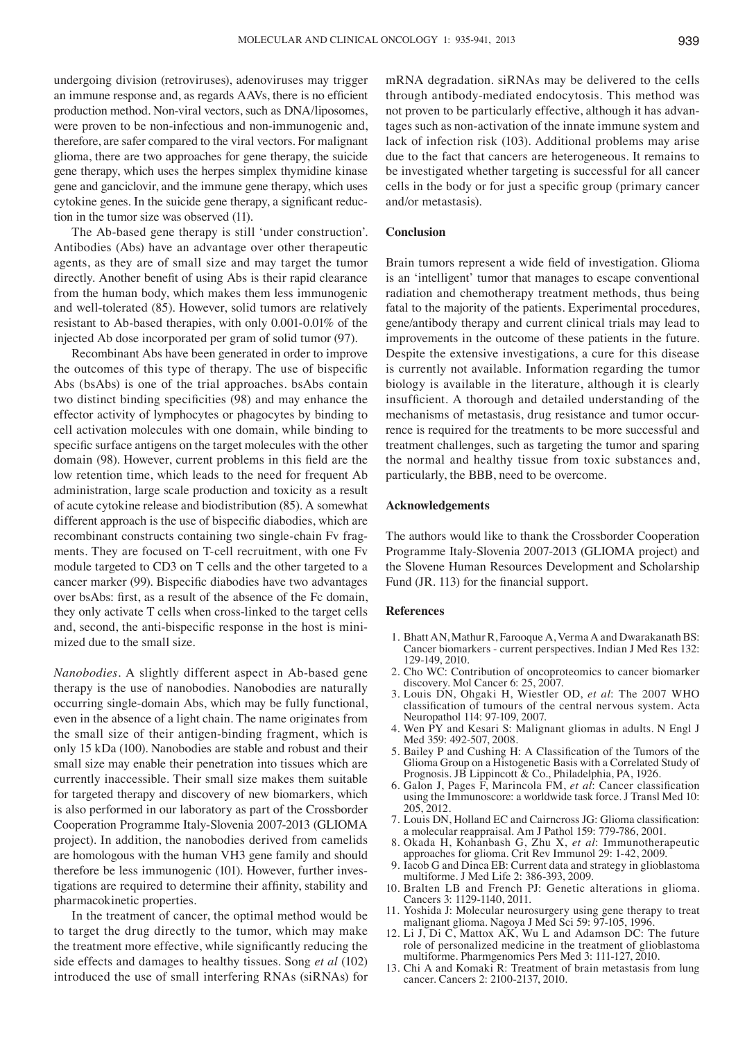undergoing division (retroviruses), adenoviruses may trigger an immune response and, as regards AAVs, there is no efficient production method. Non‑viral vectors, such as DNA/liposomes, were proven to be non-infectious and non-immunogenic and, therefore, are safer compared to the viral vectors. For malignant glioma, there are two approaches for gene therapy, the suicide gene therapy, which uses the herpes simplex thymidine kinase gene and ganciclovir, and the immune gene therapy, which uses cytokine genes. In the suicide gene therapy, a significant reduction in the tumor size was observed (11).

The Ab-based gene therapy is still 'under construction'. Antibodies (Abs) have an advantage over other therapeutic agents, as they are of small size and may target the tumor directly. Another benefit of using Abs is their rapid clearance from the human body, which makes them less immunogenic and well-tolerated (85). However, solid tumors are relatively resistant to Ab-based therapies, with only 0.001‑0.01% of the injected Ab dose incorporated per gram of solid tumor (97).

Recombinant Abs have been generated in order to improve the outcomes of this type of therapy. The use of bispecific Abs (bsAbs) is one of the trial approaches. bsAbs contain two distinct binding specificities (98) and may enhance the effector activity of lymphocytes or phagocytes by binding to cell activation molecules with one domain, while binding to specific surface antigens on the target molecules with the other domain (98). However, current problems in this field are the low retention time, which leads to the need for frequent Ab administration, large scale production and toxicity as a result of acute cytokine release and biodistribution (85). A somewhat different approach is the use of bispecific diabodies, which are recombinant constructs containing two single-chain Fv fragments. They are focused on T-cell recruitment, with one Fv module targeted to CD3 on T cells and the other targeted to a cancer marker (99). Bispecific diabodies have two advantages over bsAbs: first, as a result of the absence of the Fc domain, they only activate T cells when cross-linked to the target cells and, second, the anti-bispecific response in the host is minimized due to the small size.

*Nanobodies*. A slightly different aspect in Ab-based gene therapy is the use of nanobodies. Nanobodies are naturally occurring single‑domain Abs, which may be fully functional, even in the absence of a light chain. The name originates from the small size of their antigen-binding fragment, which is only 15 kDa (100). Nanobodies are stable and robust and their small size may enable their penetration into tissues which are currently inaccessible. Their small size makes them suitable for targeted therapy and discovery of new biomarkers, which is also performed in our laboratory as part of the Crossborder Cooperation Programme Italy‑Slovenia 2007‑2013 (GLIOMA project). In addition, the nanobodies derived from camelids are homologous with the human VH3 gene family and should therefore be less immunogenic (101). However, further investigations are required to determine their affinity, stability and pharmacokinetic properties.

In the treatment of cancer, the optimal method would be to target the drug directly to the tumor, which may make the treatment more effective, while significantly reducing the side effects and damages to healthy tissues. Song *et al* (102) introduced the use of small interfering RNAs (siRNAs) for mRNA degradation. siRNAs may be delivered to the cells through antibody‑mediated endocytosis. This method was not proven to be particularly effective, although it has advantages such as non‑activation of the innate immune system and lack of infection risk (103). Additional problems may arise due to the fact that cancers are heterogeneous. It remains to be investigated whether targeting is successful for all cancer cells in the body or for just a specific group (primary cancer and/or metastasis).

## **Conclusion**

Brain tumors represent a wide field of investigation. Glioma is an 'intelligent' tumor that manages to escape conventional radiation and chemotherapy treatment methods, thus being fatal to the majority of the patients. Experimental procedures, gene/antibody therapy and current clinical trials may lead to improvements in the outcome of these patients in the future. Despite the extensive investigations, a cure for this disease is currently not available. Information regarding the tumor biology is available in the literature, although it is clearly insufficient. A thorough and detailed understanding of the mechanisms of metastasis, drug resistance and tumor occurrence is required for the treatments to be more successful and treatment challenges, such as targeting the tumor and sparing the normal and healthy tissue from toxic substances and, particularly, the BBB, need to be overcome.

#### **Acknowledgements**

The authors would like to thank the Crossborder Cooperation Programme Italy‑Slovenia 2007‑2013 (GLIOMA project) and the Slovene Human Resources Development and Scholarship Fund (JR. 113) for the financial support.

#### **References**

- 1. Bhatt AN, Mathur R, Farooque A, Verma A and Dwarakanath BS: Cancer biomarkers ‑ current perspectives. Indian J Med Res 132: 129‑149, 2010.
- 2. Cho WC: Contribution of oncoproteomics to cancer biomarker discovery. Mol Cancer 6: 25, 2007.
- 3. Louis DN, Ohgaki H, Wiestler OD, *et al*: The 2007 WHO classification of tumours of the central nervous system. Acta Neuropathol 114: 97‑109, 2007.
- 4. Wen PY and Kesari S: Malignant gliomas in adults. N Engl J Med 359: 492-507, 2008.
- 5. Bailey P and Cushing H: A Classification of the Tumors of the Glioma Group on a Histogenetic Basis with a Correlated Study of Prognosis. JB Lippincott & Co., Philadelphia, PA, 1926.
- 6. Galon J, Pages F, Marincola FM, et al. Cancer classification using the Immunoscore: a worldwide task force. J Transl Med 10: 205, 2012.
- 7. Louis DN, Holland EC and Cairncross JG: Glioma classification: a molecular reappraisal. Am J Pathol 159: 779‑786, 2001.
- 8. Okada H, Kohanbash G, Zhu X, *et al*: Immunotherapeutic approaches for glioma. Crit Rev Immunol 29: 1‑42, 2009.
- 9. Iacob G and Dinca EB: Current data and strategy in glioblastoma multiforme. J Med Life 2: 386‑393, 2009.
- 10. Bralten LB and French PJ: Genetic alterations in glioma. Cancers 3: 1129‑1140, 2011.
- 11. Yoshida J: Molecular neurosurgery using gene therapy to treat malignant glioma. Nagoya J Med Sci 59: 97‑105, 1996.
- 12. Li J, Di C, Mattox AK, Wu L and Adamson DC: The future role of personalized medicine in the treatment of glioblastoma multiforme. Pharmgenomics Pers Med 3: 111‑127, 2010.
- 13. Chi A and Komaki R: Treatment of brain metastasis from lung cancer. Cancers 2: 2100‑2137, 2010.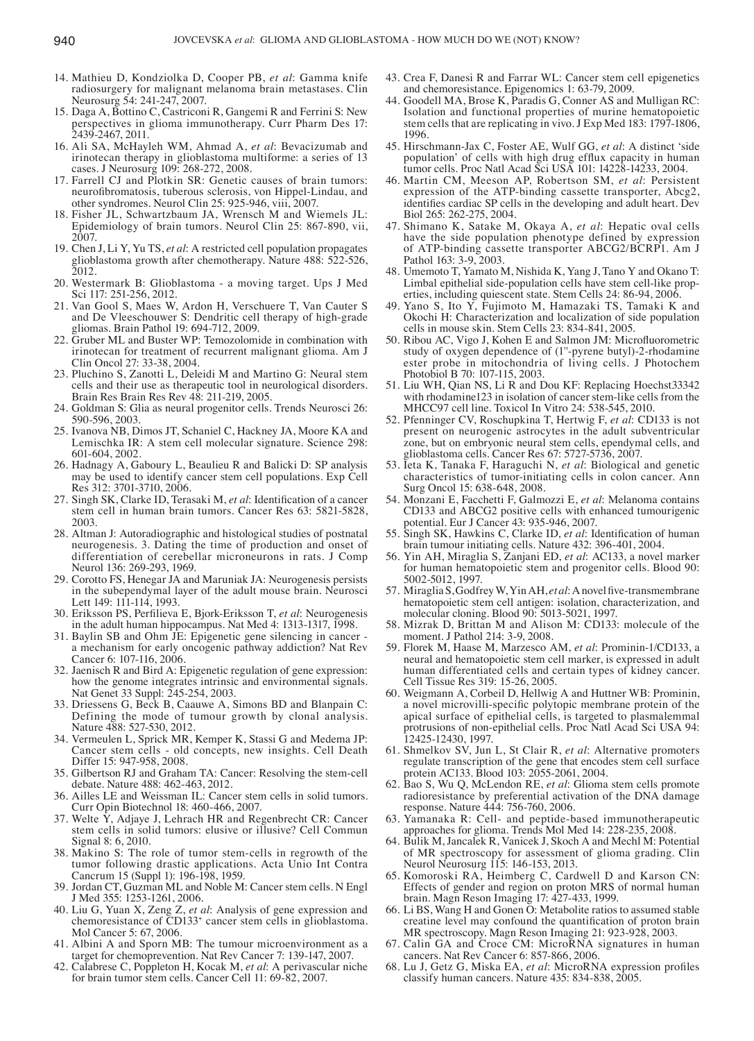- 14. Mathieu D, Kondziolka D, Cooper PB, *et al*: Gamma knife radiosurgery for malignant melanoma brain metastases. Clin Neurosurg 54: 241‑247, 2007.
- 15. Daga A, Bottino C, Castriconi R, Gangemi R and Ferrini S: New perspectives in glioma immunotherapy. Curr Pharm Des 17: 2439‑2467, 2011.
- 16. Ali SA, McHayleh WM, Ahmad A, *et al*: Bevacizumab and irinotecan therapy in glioblastoma multiforme: a series of 13 cases. J Neurosurg 109: 268‑272, 2008.
- 17. Farrell CJ and Plotkin SR: Genetic causes of brain tumors: neurofibromatosis, tuberous sclerosis, von Hippel-Lindau, and other syndromes. Neurol Clin 25: 925‑946, viii, 2007.
- 18. Fisher JL, Schwartzbaum JA, Wrensch M and Wiemels JL: Epidemiology of brain tumors. Neurol Clin 25: 867‑890, vii, 2007.
- 19. Chen J, Li Y, Yu TS, *et al*: A restricted cell population propagates glioblastoma growth after chemotherapy. Nature 488: 522-526, 2012.
- 20. Westermark B: Glioblastoma ‑ a moving target. Ups J Med Sci 117: 251‑256, 2012.
- 21. Van Gool S, Maes W, Ardon H, Verschuere T, Van Cauter S and De Vleeschouwer S: Dendritic cell therapy of high-grade gliomas. Brain Pathol 19: 694‑712, 2009.
- 22. Gruber ML and Buster WP: Temozolomide in combination with irinotecan for treatment of recurrent malignant glioma. Am J Clin Oncol 27: 33‑38, 2004.
- 23. Pluchino S, Zanotti L, Deleidi M and Martino G: Neural stem cells and their use as therapeutic tool in neurological disorders. Brain Res Brain Res Rev 48: 211‑219, 2005.
- 24. Goldman S: Glia as neural progenitor cells. Trends Neurosci 26: 590‑596, 2003.
- 25. Ivanova NB, Dimos JT, Schaniel C, Hackney JA, Moore KA and Lemischka IR: A stem cell molecular signature. Science 298: 601‑604, 2002.
- 26. Hadnagy A, Gaboury L, Beaulieu R and Balicki D: SP analysis may be used to identify cancer stem cell populations. Exp Cell Res 312: 3701‑3710, 2006.
- 27. Singh SK, Clarke ID, Terasaki M, *et al*: Identification of a cancer stem cell in human brain tumors. Cancer Res 63: 5821-5828, 2003.
- 28. Altman J: Autoradiographic and histological studies of postnatal neurogenesis. 3. Dating the time of production and onset of differentiation of cerebellar microneurons in rats. J Comp Neurol 136: 269‑293, 1969.
- 29. Corotto FS, Henegar JA and Maruniak JA: Neurogenesis persists in the subependymal layer of the adult mouse brain. Neurosci Lett 149: 111-114, 1993.
- 30. Eriksson PS, Perfilieva E, Bjork‑Eriksson T, *et al*: Neurogenesis in the adult human hippocampus. Nat Med 4: 1313‑1317, 1998.
- 31. Baylin SB and Ohm JE: Epigenetic gene silencing in cancer a mechanism for early oncogenic pathway addiction? Nat Rev Cancer 6: 107‑116, 2006.
- 32. Jaenisch R and Bird A: Epigenetic regulation of gene expression: how the genome integrates intrinsic and environmental signals. Nat Genet 33 Suppl: 245-254, 2003.
- 33. Driessens G, Beck B, Caauwe A, Simons BD and Blanpain C: Defining the mode of tumour growth by clonal analysis. Nature 488: 527‑530, 2012.
- 34. Vermeulen L, Sprick MR, Kemper K, Stassi G and Medema JP: Cancer stem cells ‑ old concepts, new insights. Cell Death Differ 15: 947‑958, 2008.
- 35. Gilbertson RJ and Graham TA: Cancer: Resolving the stem‑cell debate. Nature 488: 462‑463, 2012.
- 36. Ailles LE and Weissman IL: Cancer stem cells in solid tumors. Curr Opin Biotechnol 18: 460‑466, 2007.
- 37. Welte Y, Adjaye J, Lehrach HR and Regenbrecht CR: Cancer stem cells in solid tumors: elusive or illusive? Cell Commun Signal 8: 6, 2010.
- 38. Makino S: The role of tumor stem‑cells in regrowth of the tumor following drastic applications. Acta Unio Int Contra Cancrum 15 (Suppl 1): 196‑198, 1959.
- 39. Jordan CT, Guzman ML and Noble M: Cancer stem cells. N Engl J Med 355: 1253‑1261, 2006.
- 40. Liu G, Yuan X, Zeng Z, *et al*: Analysis of gene expression and chemoresistance of CD133+ cancer stem cells in glioblastoma. Mol Cancer 5: 67, 2006.
- 41. Albini A and Sporn MB: The tumour microenvironment as a target for chemoprevention. Nat Rev Cancer 7: 139‑147, 2007.
- 42. Calabrese C, Poppleton H, Kocak M, *et al*: A perivascular niche for brain tumor stem cells. Cancer Cell 11: 69‑82, 2007.
- 43. Crea F, Danesi R and Farrar WL: Cancer stem cell epigenetics and chemoresistance. Epigenomics 1: 63‑79, 2009.
- 44. Goodell MA, Brose K, Paradis G, Conner AS and Mulligan RC: Isolation and functional properties of murine hematopoietic stem cells that are replicating in vivo. J Exp Med 183: 1797‑1806, 1996.
- 45. Hirschmann‑Jax C, Foster AE, Wulf GG, *et al*: A distinct 'side population' of cells with high drug efflux capacity in human tumor cells. Proc Natl Acad Sci USA 101: 14228‑14233, 2004.
- 46. Martin CM, Meeson AP, Robertson SM, *et al*: Persistent expression of the ATP-binding cassette transporter, Abcg2, identifies cardiac SP cells in the developing and adult heart. Dev Biol 265: 262‑275, 2004.
- 47. Shimano K, Satake M, Okaya A, *et al*: Hepatic oval cells have the side population phenotype defined by expression of ATP‑binding cassette transporter ABCG2/BCRP1. Am J Pathol 163: 3-9, 2003.
- 48. Umemoto T, Yamato M, Nishida K, Yang J, Tano Y and Okano T: Limbal epithelial side-population cells have stem cell-like properties, including quiescent state. Stem Cells 24: 86‑94, 2006.
- 49. Yano S, Ito Y, Fujimoto M, Hamazaki TS, Tamaki K and Okochi H: Characterization and localization of side population cells in mouse skin. Stem Cells 23: 834‑841, 2005.
- 50. Ribou AC, Vigo J, Kohen E and Salmon JM: Microfluorometric study of oxygen dependence of (1''‑pyrene butyl)‑2‑rhodamine ester probe in mitochondria of living cells. J Photochem Photobiol B 70: 107‑115, 2003.
- 51. Liu WH, Qian NS, Li R and Dou KF: Replacing Hoechst33342 with rhodamine123 in isolation of cancer stem-like cells from the MHCC97 cell line. Toxicol In Vitro 24: 538‑545, 2010.
- 52. Pfenninger CV, Roschupkina T, Hertwig F, *et al*: CD133 is not present on neurogenic astrocytes in the adult subventricular zone, but on embryonic neural stem cells, ependymal cells, and glioblastoma cells. Cancer Res 67: 5727‑5736, 2007.
- 53. Ieta K, Tanaka F, Haraguchi N, *et al*: Biological and genetic characteristics of tumor‑initiating cells in colon cancer. Ann Surg Oncol 15: 638‑648, 2008.
- 54. Monzani E, Facchetti F, Galmozzi E, *et al*: Melanoma contains CD133 and ABCG2 positive cells with enhanced tumourigenic potential. Eur J Cancer 43: 935‑946, 2007.
- 55. Singh SK, Hawkins C, Clarke ID, *et al*: Identification of human brain tumour initiating cells. Nature 432: 396‑401, 2004.
- 56. Yin AH, Miraglia S, Zanjani ED, *et al*: AC133, a novel marker for human hematopoietic stem and progenitor cells. Blood 90: 5002‑5012, 1997.
- 57. Miraglia S, Godfrey W, Yin AH, *et al*: A novel five‑transmembrane hematopoietic stem cell antigen: isolation, characterization, and molecular cloning. Blood 90: 5013‑5021, 1997.
- 58. Mizrak D, Brittan M and Alison M: CD133: molecule of the moment. J Pathol 214: 3‑9, 2008.
- 59. Florek M, Haase M, Marzesco AM, *et al*: Prominin‑1/CD133, a neural and hematopoietic stem cell marker, is expressed in adult human differentiated cells and certain types of kidney cancer. Cell Tissue Res 319: 15‑26, 2005.
- 60. Weigmann A, Corbeil D, Hellwig A and Huttner WB: Prominin, a novel microvilli‑specific polytopic membrane protein of the apical surface of epithelial cells, is targeted to plasmalemmal protrusions of non‑epithelial cells. Proc Natl Acad Sci USA 94: 12425‑12430, 1997.
- 61. Shmelkov SV, Jun L, St Clair R, *et al*: Alternative promoters regulate transcription of the gene that encodes stem cell surface protein AC133. Blood 103: 2055‑2061, 2004.
- 62. Bao S, Wu Q, McLendon RE, *et al*: Glioma stem cells promote radioresistance by preferential activation of the DNA damage response. Nature 444: 756‑760, 2006.
- 63. Yamanaka R: Cell‑ and peptide‑based immunotherapeutic approaches for glioma. Trends Mol Med 14: 228‑235, 2008.
- 64. Bulik M, Jancalek R, Vanicek J, Skoch A and Mechl M: Potential of MR spectroscopy for assessment of glioma grading. Clin Neurol Neurosurg 115: 146‑153, 2013.
- 65. Komoroski RA, Heimberg C, Cardwell D and Karson CN: Effects of gender and region on proton MRS of normal human brain. Magn Reson Imaging 17: 427‑433, 1999.
- 66. Li BS, Wang H and Gonen O: Metabolite ratios to assumed stable creatine level may confound the quantification of proton brain MR spectroscopy. Magn Reson Imaging 21: 923‑928, 2003.
- 67. Calin GA and Croce CM: MicroRNA signatures in human cancers. Nat Rev Cancer 6: 857‑866, 2006.
- 68. Lu J, Getz G, Miska EA, *et al*: MicroRNA expression profiles classify human cancers. Nature 435: 834‑838, 2005.